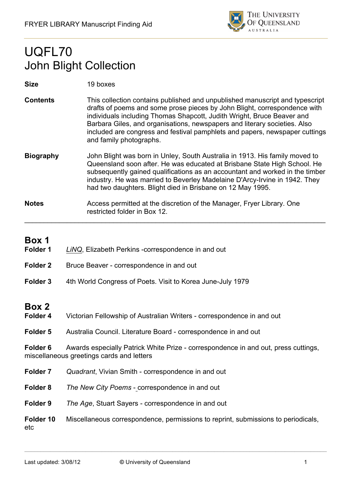

# UQFL70 John Blight Collection

#### **Size** 19 boxes

- **Contents** This collection contains published and unpublished manuscript and typescript drafts of poems and some prose pieces by John Blight, correspondence with individuals including Thomas Shapcott, Judith Wright, Bruce Beaver and Barbara Giles, and organisations, newspapers and literary societies. Also included are congress and festival pamphlets and papers, newspaper cuttings and family photographs.
- **Biography** John Blight was born in Unley, South Australia in 1913. His family moved to Queensland soon after. He was educated at Brisbane State High School. He subsequently gained qualifications as an accountant and worked in the timber industry. He was married to Beverley Madelaine D'Arcy-Irvine in 1942. They had two daughters. Blight died in Brisbane on 12 May 1995.
- **Notes** Access permitted at the discretion of the Manager, Fryer Library. One restricted folder in Box 12.  $\mathcal{L}_\mathcal{L} = \mathcal{L}_\mathcal{L} = \mathcal{L}_\mathcal{L} = \mathcal{L}_\mathcal{L} = \mathcal{L}_\mathcal{L} = \mathcal{L}_\mathcal{L} = \mathcal{L}_\mathcal{L} = \mathcal{L}_\mathcal{L} = \mathcal{L}_\mathcal{L} = \mathcal{L}_\mathcal{L} = \mathcal{L}_\mathcal{L} = \mathcal{L}_\mathcal{L} = \mathcal{L}_\mathcal{L} = \mathcal{L}_\mathcal{L} = \mathcal{L}_\mathcal{L} = \mathcal{L}_\mathcal{L} = \mathcal{L}_\mathcal{L}$

### **Box 1**

- **Folder 1** *LiNQ*, Elizabeth Perkins -correspondence in and out
- **Folder 2** Bruce Beaver correspondence in and out
- **Folder 3** 4th World Congress of Poets. Visit to Korea June-July 1979

## **Box 2**

- **Folder 4** Victorian Fellowship of Australian Writers correspondence in and out
- **Folder 5** Australia Council. Literature Board correspondence in and out

**Folder 6** Awards especially Patrick White Prize - correspondence in and out, press cuttings, miscellaneous greetings cards and letters

- **Folder 7** *Quadrant*, Vivian Smith correspondence in and out
- **Folder 8** *The New City Poems* correspondence in and out
- **Folder 9** *The Age*, Stuart Sayers correspondence in and out

**Folder 10** Miscellaneous correspondence, permissions to reprint, submissions to periodicals, etc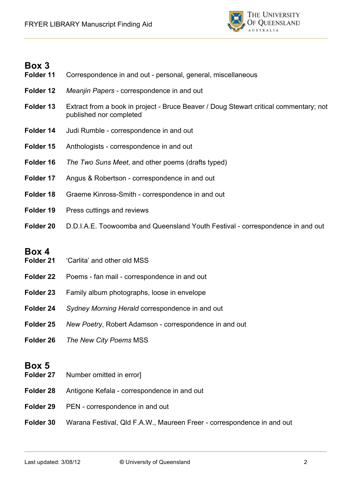

| Folder 11 | Correspondence in and out - personal, general, miscellaneous                                                     |
|-----------|------------------------------------------------------------------------------------------------------------------|
| Folder 12 | Meanjin Papers - correspondence in and out                                                                       |
| Folder 13 | Extract from a book in project - Bruce Beaver / Doug Stewart critical commentary; not<br>published nor completed |
| Folder 14 | Judi Rumble - correspondence in and out                                                                          |
| Folder 15 | Anthologists - correspondence in and out                                                                         |
| Folder 16 | The Two Suns Meet, and other poems (drafts typed)                                                                |
| Folder 17 | Angus & Robertson - correspondence in and out                                                                    |
| Folder 18 | Graeme Kinross-Smith - correspondence in and out                                                                 |
| Folder 19 | Press cuttings and reviews                                                                                       |
| Folder 20 | D.D.I.A.E. Toowoomba and Queensland Youth Festival - correspondence in and out                                   |

### **Box 4**

- **Folder 21** 'Carlita' and other old MSS
- **Folder 22** Poems fan mail correspondence in and out
- **Folder 23** Family album photographs, loose in envelope
- **Folder 24** *Sydney Morning Herald* correspondence in and out
- **Folder 25** *New Poetry*, Robert Adamson correspondence in and out
- **Folder 26** *The New City Poems* MSS

### **Box 5**

- **Folder 27** Number omitted in error]
- **Folder 28** Antigone Kefala correspondence in and out
- Folder 29 PEN correspondence in and out
- **Folder 30** Warana Festival, Qld F.A.W., Maureen Freer correspondence in and out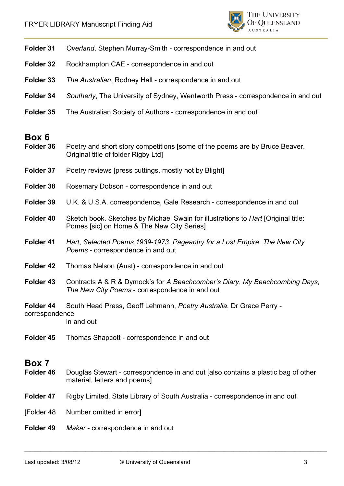

| Folder 31                   | Overland, Stephen Murray-Smith - correspondence in and out                                                                      |
|-----------------------------|---------------------------------------------------------------------------------------------------------------------------------|
| Folder 32                   | Rockhampton CAE - correspondence in and out                                                                                     |
| Folder 33                   | The Australian, Rodney Hall - correspondence in and out                                                                         |
| Folder 34                   | Southerly, The University of Sydney, Wentworth Press - correspondence in and out                                                |
| Folder 35                   | The Australian Society of Authors - correspondence in and out                                                                   |
| Box 6<br>Folder 36          | Poetry and short story competitions [some of the poems are by Bruce Beaver.<br>Original title of folder Rigby Ltd]              |
| Folder 37                   | Poetry reviews [press cuttings, mostly not by Blight]                                                                           |
| Folder 38                   | Rosemary Dobson - correspondence in and out                                                                                     |
| Folder 39                   | U.K. & U.S.A. correspondence, Gale Research - correspondence in and out                                                         |
| Folder 40                   | Sketch book. Sketches by Michael Swain for illustrations to Hart [Original title:<br>Pomes [sic] on Home & The New City Series] |
| Folder 41                   | Hart, Selected Poems 1939-1973, Pageantry for a Lost Empire, The New City<br>Poems - correspondence in and out                  |
| Folder 42                   | Thomas Nelson (Aust) - correspondence in and out                                                                                |
| Folder 43                   | Contracts A & R & Dymock's for A Beachcomber's Diary, My Beachcombing Days,<br>The New City Poems - correspondence in and out   |
| Folder 44<br>correspondence | South Head Press, Geoff Lehmann, Poetry Australia, Dr Grace Perry -<br>in and out                                               |
| Folder 45                   | Thomas Shapcott - correspondence in and out                                                                                     |
| Box 7<br>Folder 46          | Douglas Stewart - correspondence in and out [also contains a plastic bag of other<br>material, letters and poems]               |
| Folder 47                   | Rigby Limited, State Library of South Australia - correspondence in and out                                                     |
| [Folder 48                  | Number omitted in error]                                                                                                        |
| Folder 49                   | Makar - correspondence in and out                                                                                               |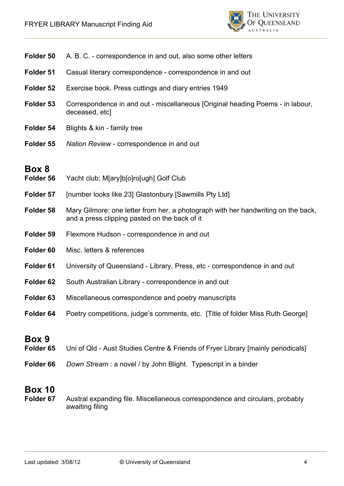

| Folder 50          | A. B. C. - correspondence in and out, also some other letters                                                                      |
|--------------------|------------------------------------------------------------------------------------------------------------------------------------|
| Folder 51          | Casual literary correspondence - correspondence in and out                                                                         |
| Folder 52          | Exercise book. Press cuttings and diary entries 1949                                                                               |
| Folder 53          | Correspondence in and out - miscellaneous [Original heading Poems - in labour,<br>deceased, etcl                                   |
| Folder 54          | Blights & kin - family tree                                                                                                        |
| Folder 55          | Nation Review - correspondence in and out                                                                                          |
| Box 8<br>Folder 56 | Yacht club; M[ary]b[o]ro[ugh] Golf Club                                                                                            |
| Folder 57          | [number looks like 23] Glastonbury [Sawmills Pty Ltd]                                                                              |
| Folder 58          | Mary Gilmore: one letter from her, a photograph with her handwriting on the back,<br>and a press clipping pasted on the back of it |
| Folder 59          | Flexmore Hudson - correspondence in and out                                                                                        |
| Folder 60          | Misc. letters & references                                                                                                         |
| Folder 61          | University of Queensland - Library, Press, etc - correspondence in and out                                                         |
| Folder 62          | South Australian Library - correspondence in and out                                                                               |
| Folder 63          | Miscellaneous correspondence and poetry manuscripts                                                                                |
| Folder 64          | Poetry competitions, judge's comments, etc. [Title of folder Miss Ruth George]                                                     |
| Box 9              |                                                                                                                                    |

- **Folder 65** Uni of Qld Aust Studies Centre & Friends of Fryer Library [mainly periodicals]
- **Folder 66** *Down Stream* : a novel / by John Blight. Typescript in a binder

**Folder 67** Austral expanding file. Miscellaneous correspondence and circulars, probably awaiting filing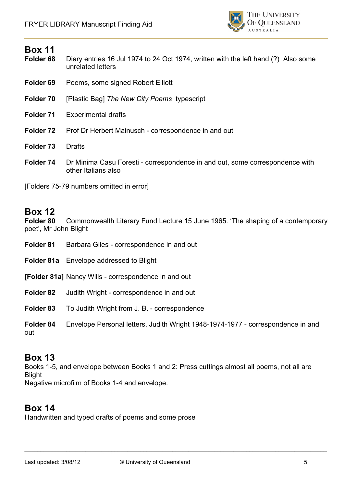

- **Folder 68** Diary entries 16 Jul 1974 to 24 Oct 1974, written with the left hand (?) Also some unrelated letters
- **Folder 69** Poems, some signed Robert Elliott
- **Folder 70** [Plastic Bag] *The New City Poems* typescript
- **Folder 71** Experimental drafts
- **Folder 72** Prof Dr Herbert Mainusch correspondence in and out
- **Folder 73** Drafts
- **Folder 74** Dr Minima Casu Foresti correspondence in and out, some correspondence with other Italians also

[Folders 75-79 numbers omitted in error]

#### **Box 12**

**Folder 80** Commonwealth Literary Fund Lecture 15 June 1965. 'The shaping of a contemporary poet', Mr John Blight

- **Folder 81** Barbara Giles correspondence in and out
- **Folder 81a** Envelope addressed to Blight

**[Folder 81a]** Nancy Wills - correspondence in and out

- **Folder 82** Judith Wright correspondence in and out
- **Folder 83** To Judith Wright from J. B. correspondence
- **Folder 84** Envelope Personal letters, Judith Wright 1948-1974-1977 correspondence in and out

#### **Box 13**

Books 1-5, and envelope between Books 1 and 2: Press cuttings almost all poems, not all are Blight Negative microfilm of Books 1-4 and envelope.

### **Box 14**

Handwritten and typed drafts of poems and some prose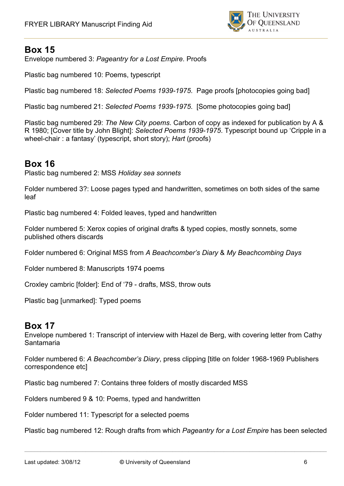

Envelope numbered 3: *Pageantry for a Lost Empire*. Proofs

Plastic bag numbered 10: Poems, typescript

Plastic bag numbered 18: *Selected Poems 1939-1975*. Page proofs [photocopies going bad]

Plastic bag numbered 21: *Selected Poems 1939-1975*. [Some photocopies going bad]

Plastic bag numbered 29: *The New City poems*. Carbon of copy as indexed for publication by A & R 1980; [Cover title by John Blight]: *Selected Poems 1939-1975*. Typescript bound up 'Cripple in a wheel-chair : a fantasy' (typescript, short story); *Hart* (proofs)

### **Box 16**

Plastic bag numbered 2: MSS *Holiday sea sonnets*

Folder numbered 3?: Loose pages typed and handwritten, sometimes on both sides of the same leaf

Plastic bag numbered 4: Folded leaves, typed and handwritten

Folder numbered 5: Xerox copies of original drafts & typed copies, mostly sonnets, some published others discards

Folder numbered 6: Original MSS from *A Beachcomber's Diary* & *My Beachcombing Days*

Folder numbered 8: Manuscripts 1974 poems

Croxley cambric [folder]: End of '79 - drafts, MSS, throw outs

Plastic bag [unmarked]: Typed poems

#### **Box 17**

Envelope numbered 1: Transcript of interview with Hazel de Berg, with covering letter from Cathy Santamaria

Folder numbered 6: *A Beachcomber's Diary*, press clipping [title on folder 1968-1969 Publishers correspondence etc]

Plastic bag numbered 7: Contains three folders of mostly discarded MSS

Folders numbered 9 & 10: Poems, typed and handwritten

Folder numbered 11: Typescript for a selected poems

Plastic bag numbered 12: Rough drafts from which *Pageantry for a Lost Empire* has been selected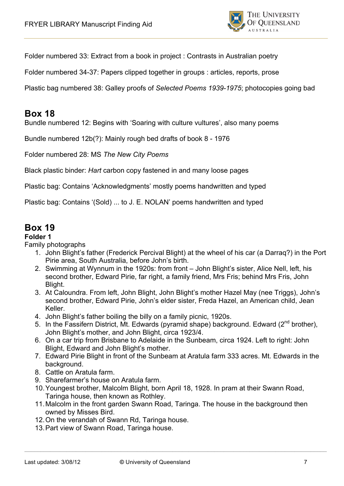

Folder numbered 33: Extract from a book in project : Contrasts in Australian poetry

Folder numbered 34-37: Papers clipped together in groups : articles, reports, prose

Plastic bag numbered 38: Galley proofs of *Selected Poems 1939-1975*; photocopies going bad

#### **Box 18**

Bundle numbered 12: Begins with 'Soaring with culture vultures', also many poems

Bundle numbered 12b(?): Mainly rough bed drafts of book 8 - 1976

Folder numbered 28: MS *The New City Poems*

Black plastic binder: *Hart* carbon copy fastened in and many loose pages

Plastic bag: Contains 'Acknowledgments' mostly poems handwritten and typed

Plastic bag: Contains '(Sold) ... to J. E. NOLAN' poems handwritten and typed

### **Box 19**

**Folder 1**

Family photographs

- 1. John Blight's father (Frederick Percival Blight) at the wheel of his car (a Darraq?) in the Port Pirie area, South Australia, before John's birth.
- 2. Swimming at Wynnum in the 1920s: from front John Blight's sister, Alice Nell, left, his second brother, Edward Pirie, far right, a family friend, Mrs Fris; behind Mrs Fris, John Blight.
- 3. At Caloundra. From left, John Blight, John Blight's mother Hazel May (nee Triggs), John's second brother, Edward Pirie, John's elder sister, Freda Hazel, an American child, Jean Keller.
- 4. John Blight's father boiling the billy on a family picnic, 1920s.
- 5. In the Fassifern District, Mt. Edwards (pyramid shape) background. Edward ( $2^{nd}$  brother), John Blight's mother, and John Blight, circa 1923/4.
- 6. On a car trip from Brisbane to Adelaide in the Sunbeam, circa 1924. Left to right: John Blight, Edward and John Blight's mother.
- 7. Edward Pirie Blight in front of the Sunbeam at Aratula farm 333 acres. Mt. Edwards in the background.
- 8. Cattle on Aratula farm.
- 9. Sharefarmer's house on Aratula farm.
- 10.Youngest brother, Malcolm Blight, born April 18, 1928. In pram at their Swann Road, Taringa house, then known as Rothley.
- 11.Malcolm in the front garden Swann Road, Taringa. The house in the background then owned by Misses Bird.
- 12.On the verandah of Swann Rd, Taringa house.
- 13.Part view of Swann Road, Taringa house.